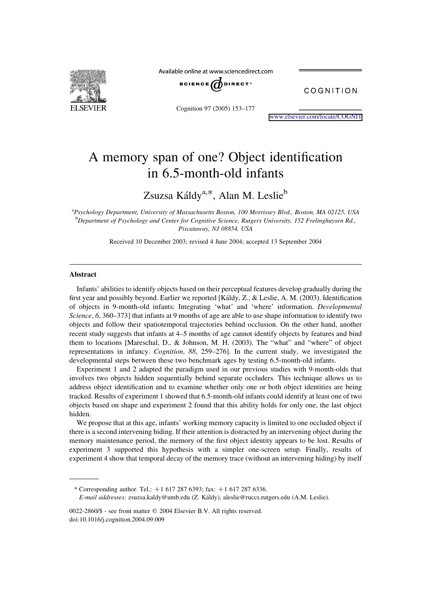

Available online at www.sciencedirect.com



COGNITION

Cognition 97 (2005) 153–177

[www.elsevier.com/locate/COGNIT](http://www.elsevier.com/locate/COGNIT)

# A memory span of one? Object identification in 6.5-month-old infants

Zsuzsa Káldy<sup>a,\*</sup>, Alan M. Leslie<sup>b</sup>

<sup>a</sup> Psychology Department, University of Massachusetts Boston, 100 Morrissey Blvd., Boston, MA 02125, USA<br><sup>b</sup> Department of Psychology and Capter for Cognitive Science, Pytegrs University, 152 Frelinghypsen Pd <sup>b</sup>Department of Psychology and Center for Cognitive Science, Rutgers University, 152 Frelinghuysen Rd., Piscataway, NJ 08854, USA

Received 10 December 2003; revised 4 June 2004; accepted 13 September 2004

#### Abstract

Infants' abilities to identify objects based on their perceptual features develop gradually during the first year and possibly beyond. Earlier we reported [Ka´ldy, Z., & Leslie, A. M. (2003). Identification of objects in 9-month-old infants: Integrating 'what' and 'where' information. Developmental Science, 6, 360–373] that infants at 9 months of age are able to use shape information to identify two objects and follow their spatiotemporal trajectories behind occlusion. On the other hand, another recent study suggests that infants at 4–5 months of age cannot identify objects by features and bind them to locations [Mareschal, D., & Johnson, M. H. (2003). The "what" and "where" of object representations in infancy. *Cognition*, 88, 259–276]. In the current study, we investigated the developmental steps between these two benchmark ages by testing 6.5-month-old infants.

Experiment 1 and 2 adapted the paradigm used in our previous studies with 9-month-olds that involves two objects hidden sequentially behind separate occluders. This technique allows us to address object identification and to examine whether only one or both object identities are being tracked. Results of experiment 1 showed that 6.5-month-old infants could identify at least one of two objects based on shape and experiment 2 found that this ability holds for only one, the last object hidden.

We propose that at this age, infants' working memory capacity is limited to one occluded object if there is a second intervening hiding. If their attention is distracted by an intervening object during the memory maintenance period, the memory of the first object identity appears to be lost. Results of experiment 3 supported this hypothesis with a simpler one-screen setup. Finally, results of experiment 4 show that temporal decay of the memory trace (without an intervening hiding) by itself

0022-2860/\$ - see front matter © 2004 Elsevier B.V. All rights reserved. doi:10.1016/j.cognition.2004.09.009

<sup>\*</sup> Corresponding author. Tel.:  $+1$  617 287 6393; fax:  $+1$  617 287 6336. E-mail addresses: zsuzsa.kaldy@umb.edu (Z. Káldy), aleslie@ruccs.rutgers.edu (A.M. Leslie).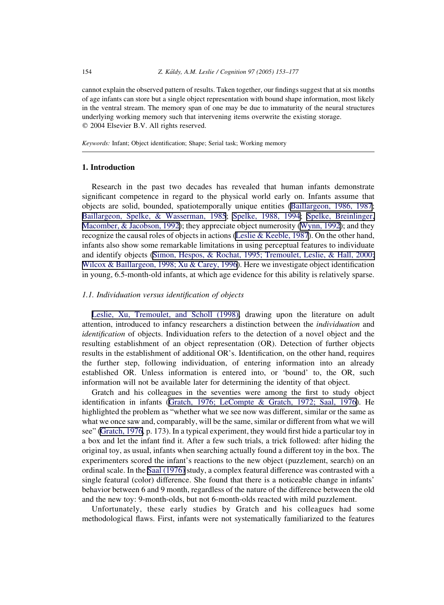cannot explain the observed pattern of results. Taken together, our findings suggest that at six months of age infants can store but a single object representation with bound shape information, most likely in the ventral stream. The memory span of one may be due to immaturity of the neural structures underlying working memory such that intervening items overwrite the existing storage.  $© 2004 Elsevier B.V. All rights reserved.$ 

Keywords: Infant; Object identification; Shape; Serial task; Working memory

#### 1. Introduction

Research in the past two decades has revealed that human infants demonstrate significant competence in regard to the physical world early on. Infants assume that objects are solid, bounded, spatiotemporally unique entities [\(Baillargeon,](#page-22-0) 1986, 1987; Baillargeon, Spelke, & [Wasserman,](#page-22-0) 1985; [Spelke,](#page-23-0) 1988, 1994; Spelke, [Breinlinger,](#page-23-0) [Macomber,](#page-23-0) & Jacobson, 1992); they appreciate object numerosity [\(Wynn,](#page-24-0) 1992); and they recognize the causal roles of objects in actions (Leslie & [Keeble,](#page-23-0) 1987). On the other hand, infants also show some remarkable limitations in using perceptual features to individuate and identify objects (Simon, Hespos, & Rochat, 1995; [Tremoulet,](#page-23-0) Leslie, & Hall, 2000; Wilcox & [Baillargeon,](#page-23-0) 1998; Xu & Carey, 1996). Here we investigate object identification in young, 6.5-month-old infants, at which age evidence for this ability is relatively sparse.

## 1.1. Individuation versus identification of objects

Leslie, Xu, [Tremoulet,](#page-23-0) and Scholl (1998), drawing upon the literature on adult attention, introduced to infancy researchers a distinction between the individuation and identification of objects. Individuation refers to the detection of a novel object and the resulting establishment of an object representation (OR). Detection of further objects results in the establishment of additional OR's. Identification, on the other hand, requires the further step, following individuation, of entering information into an already established OR. Unless information is entered into, or 'bound' to, the OR, such information will not be available later for determining the identity of that object.

Gratch and his colleagues in the seventies were among the first to study object identification in infants (Gratch, 1976; [LeCompte](#page-23-0) & Gratch, 1972; Saal, 1976). He highlighted the problem as "whether what we see now was different, similar or the same as what we once saw and, comparably, will be the same, similar or different from what we will see" [\(Gratch,](#page-23-0) 1976, p. 173). In a typical experiment, they would first hide a particular toy in a box and let the infant find it. After a few such trials, a trick followed: after hiding the original toy, as usual, infants when searching actually found a different toy in the box. The experimenters scored the infant's reactions to the new object (puzzlement, search) on an ordinal scale. In the Saal [\(1976\)](#page-23-0) study, a complex featural difference was contrasted with a single featural (color) difference. She found that there is a noticeable change in infants' behavior between 6 and 9 month, regardless of the nature of the difference between the old and the new toy: 9-month-olds, but not 6-month-olds reacted with mild puzzlement.

Unfortunately, these early studies by Gratch and his colleagues had some methodological flaws. First, infants were not systematically familiarized to the features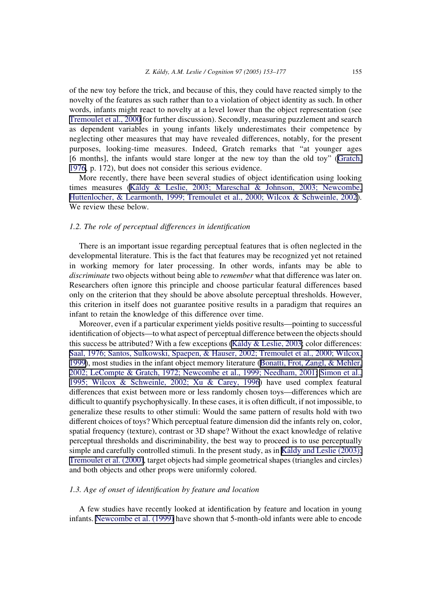of the new toy before the trick, and because of this, they could have reacted simply to the novelty of the features as such rather than to a violation of object identity as such. In other words, infants might react to novelty at a level lower than the object representation (see [Tremoulet](#page-24-0) et al., 2000 for further discussion). Secondly, measuring puzzlement and search as dependent variables in young infants likely underestimates their competence by neglecting other measures that may have revealed differences, notably, for the present purposes, looking-time measures. Indeed, Gratch remarks that "at younger ages [6 months], the infants would stare longer at the new toy than the old toy" ([Gratch,](#page-23-0) [1976,](#page-23-0) p. 172), but does not consider this serious evidence.

More recently, there have been several studies of object identification using looking times measures (Káldy & Leslie, 2003; Mareschal & Johnson, 2003; [Newcombe,](#page-23-0) [Huttenlocher,](#page-23-0) & Learmonth, 1999; Tremoulet et al., 2000; Wilcox & Schweinle, 2002). We review these below.

## 1.2. The role of perceptual differences in identification

There is an important issue regarding perceptual features that is often neglected in the developmental literature. This is the fact that features may be recognized yet not retained in working memory for later processing. In other words, infants may be able to discriminate two objects without being able to *remember* what that difference was later on. Researchers often ignore this principle and choose particular featural differences based only on the criterion that they should be above absolute perceptual thresholds. However, this criterion in itself does not guarantee positive results in a paradigm that requires an infant to retain the knowledge of this difference over time.

Moreover, even if a particular experiment yields positive results—pointing to successful identification of objects—to what aspect of perceptual difference between the objects should this success be attributed? With a few exceptions (Káldy  $&$  [Leslie,](#page-23-0) 2003; color differences: Saal, 1976; Santos, [Sulkowski,](#page-23-0) Spaepen, & Hauser, 2002; Tremoulet et al., 2000; Wilcox, [1999\)](#page-23-0), most studies in the infant object memory literature ([Bonatti,](#page-23-0) Frot, Zangl, & Mehler, 2002; LeCompte & Gratch, 1972; [Newcombe](#page-23-0) et al., 1999; Needham, 2001; [Simon](#page-24-0) et al., 1995; Wilcox & [Schweinle,](#page-24-0) 2002; Xu & Carey, 1996) have used complex featural differences that exist between more or less randomly chosen toys—differences which are difficult to quantify psychophysically. In these cases, it is often difficult, if not impossible, to generalize these results to other stimuli: Would the same pattern of results hold with two different choices of toys? Which perceptual feature dimension did the infants rely on, color, spatial frequency (texture), contrast or 3D shape? Without the exact knowledge of relative perceptual thresholds and discriminability, the best way to proceed is to use perceptually simple and carefully controlled stimuli. In the present study, as in Káldy and Leslie [\(2003\);](#page-23-0) [Tremoulet](#page-23-0) et al. (2000), target objects had simple geometrical shapes (triangles and circles) and both objects and other props were uniformly colored.

# 1.3. Age of onset of identification by feature and location

A few studies have recently looked at identification by feature and location in young infants. [Newcombe](#page-23-0) et al. (1999) have shown that 5-month-old infants were able to encode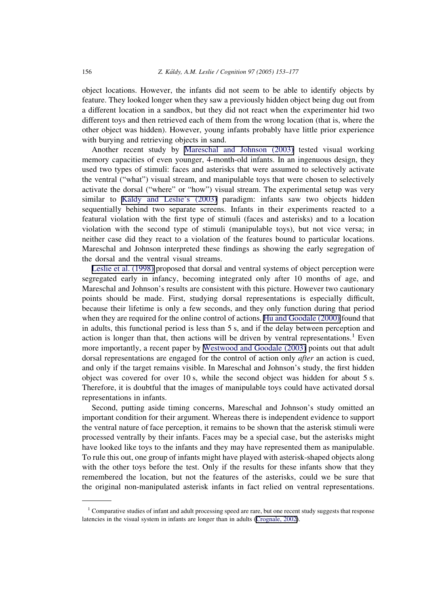object locations. However, the infants did not seem to be able to identify objects by feature. They looked longer when they saw a previously hidden object being dug out from a different location in a sandbox, but they did not react when the experimenter hid two different toys and then retrieved each of them from the wrong location (that is, where the other object was hidden). However, young infants probably have little prior experience with burying and retrieving objects in sand.

Another recent study by [Mareschal](#page-23-0) and Johnson (2003) tested visual working memory capacities of even younger, 4-month-old infants. In an ingenuous design, they used two types of stimuli: faces and asterisks that were assumed to selectively activate the ventral ("what") visual stream, and manipulable toys that were chosen to selectively activate the dorsal ("where" or "how") visual stream. The experimental setup was very similar to Káldy and [Leslie's](#page-23-0) (2003) paradigm: infants saw two objects hidden sequentially behind two separate screens. Infants in their experiments reacted to a featural violation with the first type of stimuli (faces and asterisks) and to a location violation with the second type of stimuli (manipulable toys), but not vice versa; in neither case did they react to a violation of the features bound to particular locations. Mareschal and Johnson interpreted these findings as showing the early segregation of the dorsal and the ventral visual streams.

Leslie et al. [\(1998\)](#page-23-0) proposed that dorsal and ventral systems of object perception were segregated early in infancy, becoming integrated only after 10 months of age, and Mareschal and Johnson's results are consistent with this picture. However two cautionary points should be made. First, studying dorsal representations is especially difficult, because their lifetime is only a few seconds, and they only function during that period when they are required for the online control of actions. Hu and [Goodale](#page-23-0) (2000) found that in adults, this functional period is less than 5 s, and if the delay between perception and action is longer than that, then actions will be driven by ventral representations.<sup>1</sup> Even more importantly, a recent paper by [Westwood](#page-24-0) and Goodale (2003) points out that adult dorsal representations are engaged for the control of action only *after* an action is cued, and only if the target remains visible. In Mareschal and Johnson's study, the first hidden object was covered for over 10 s, while the second object was hidden for about 5 s. Therefore, it is doubtful that the images of manipulable toys could have activated dorsal representations in infants.

Second, putting aside timing concerns, Mareschal and Johnson's study omitted an important condition for their argument. Whereas there is independent evidence to support the ventral nature of face perception, it remains to be shown that the asterisk stimuli were processed ventrally by their infants. Faces may be a special case, but the asterisks might have looked like toys to the infants and they may have represented them as manipulable. To rule this out, one group of infants might have played with asterisk-shaped objects along with the other toys before the test. Only if the results for these infants show that they remembered the location, but not the features of the asterisks, could we be sure that the original non-manipulated asterisk infants in fact relied on ventral representations.

 $<sup>1</sup>$  Comparative studies of infant and adult processing speed are rare, but one recent study suggests that response</sup> latencies in the visual system in infants are longer than in adults [\(Crognale,](#page-23-0) 2002).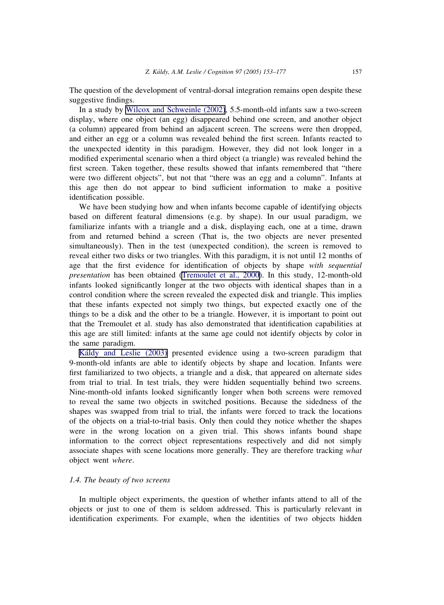The question of the development of ventral-dorsal integration remains open despite these suggestive findings.

In a study by Wilcox and [Schweinle](#page-24-0) (2002), 5.5-month-old infants saw a two-screen display, where one object (an egg) disappeared behind one screen, and another object (a column) appeared from behind an adjacent screen. The screens were then dropped, and either an egg or a column was revealed behind the first screen. Infants reacted to the unexpected identity in this paradigm. However, they did not look longer in a modified experimental scenario when a third object (a triangle) was revealed behind the first screen. Taken together, these results showed that infants remembered that "there were two different objects", but not that "there was an egg and a column". Infants at this age then do not appear to bind sufficient information to make a positive identification possible.

We have been studying how and when infants become capable of identifying objects based on different featural dimensions (e.g. by shape). In our usual paradigm, we familiarize infants with a triangle and a disk, displaying each, one at a time, drawn from and returned behind a screen (That is, the two objects are never presented simultaneously). Then in the test (unexpected condition), the screen is removed to reveal either two disks or two triangles. With this paradigm, it is not until 12 months of age that the first evidence for identification of objects by shape with sequential presentation has been obtained [\(Tremoulet](#page-24-0) et al., 2000). In this study, 12-month-old infants looked significantly longer at the two objects with identical shapes than in a control condition where the screen revealed the expected disk and triangle. This implies that these infants expected not simply two things, but expected exactly one of the things to be a disk and the other to be a triangle. However, it is important to point out that the Tremoulet et al. study has also demonstrated that identification capabilities at this age are still limited: infants at the same age could not identify objects by color in the same paradigm.

Káldy and Leslie [\(2003\)](#page-23-0) presented evidence using a two-screen paradigm that 9-month-old infants are able to identify objects by shape and location. Infants were first familiarized to two objects, a triangle and a disk, that appeared on alternate sides from trial to trial. In test trials, they were hidden sequentially behind two screens. Nine-month-old infants looked significantly longer when both screens were removed to reveal the same two objects in switched positions. Because the sidedness of the shapes was swapped from trial to trial, the infants were forced to track the locations of the objects on a trial-to-trial basis. Only then could they notice whether the shapes were in the wrong location on a given trial. This shows infants bound shape information to the correct object representations respectively and did not simply associate shapes with scene locations more generally. They are therefore tracking what object went where.

## 1.4. The beauty of two screens

In multiple object experiments, the question of whether infants attend to all of the objects or just to one of them is seldom addressed. This is particularly relevant in identification experiments. For example, when the identities of two objects hidden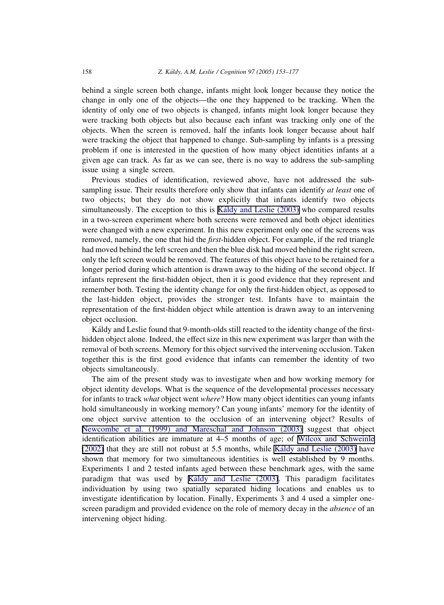behind a single screen both change, infants might look longer because they notice the change in only one of the objects—the one they happened to be tracking. When the identity of only one of two objects is changed, infants might look longer because they were tracking both objects but also because each infant was tracking only one of the objects. When the screen is removed, half the infants look longer because about half were tracking the object that happened to change. Sub-sampling by infants is a pressing problem if one is interested in the question of how many object identities infants at a given age can track. As far as we can see, there is no way to address the sub-sampling issue using a single screen.

Previous studies of identification, reviewed above, have not addressed the subsampling issue. Their results therefore only show that infants can identify at least one of two objects; but they do not show explicitly that infants identify two objects simultaneously. The exception to this is Káldy and Leslie [\(2003\)](#page-23-0) who compared results in a two-screen experiment where both screens were removed and both object identities were changed with a new experiment. In this new experiment only one of the screens was removed, namely, the one that hid the *first*-hidden object. For example, if the red triangle had moved behind the left screen and then the blue disk had moved behind the right screen, only the left screen would be removed. The features of this object have to be retained for a longer period during which attention is drawn away to the hiding of the second object. If infants represent the first-hidden object, then it is good evidence that they represent and remember both. Testing the identity change for only the first-hidden object, as opposed to the last-hidden object, provides the stronger test. Infants have to maintain the representation of the first-hidden object while attention is drawn away to an intervening object occlusion.

Kata and Leslie found that 9-month-olds still reacted to the identity change of the firsthidden object alone. Indeed, the effect size in this new experiment was larger than with the removal of both screens. Memory for this object survived the intervening occlusion. Taken together this is the first good evidence that infants can remember the identity of two objects simultaneously.

The aim of the present study was to investigate when and how working memory for object identity develops. What is the sequence of the developmental processes necessary for infants to track *what* object went *where*? How many object identities can young infants hold simultaneously in working memory? Can young infants' memory for the identity of one object survive attention to the occlusion of an intervening object? Results of [Newcombe](#page-23-0) et al. (1999) and Mareschal and Johnson (2003) suggest that object identification abilities are immature at 4–5 months of age; of Wilcox and [Schweinle](#page-24-0) [\(2002\)](#page-24-0) that they are still not robust at 5.5 months, while Ka´ldy and Leslie [\(2003\)](#page-23-0) have shown that memory for two simultaneous identities is well established by 9 months. Experiments 1 and 2 tested infants aged between these benchmark ages, with the same paradigm that was used by Káldy and Leslie [\(2003\)](#page-23-0). This paradigm facilitates individuation by using two spatially separated hiding locations and enables us to investigate identification by location. Finally, Experiments 3 and 4 used a simpler onescreen paradigm and provided evidence on the role of memory decay in the *absence* of an intervening object hiding.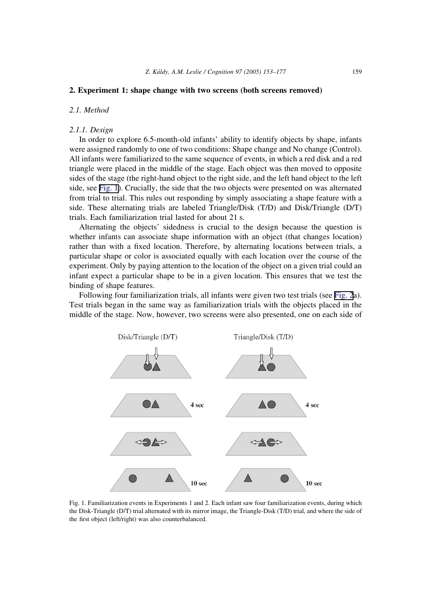## <span id="page-6-0"></span>2. Experiment 1: shape change with two screens (both screens removed)

## 2.1. Method

#### 2.1.1. Design

In order to explore 6.5-month-old infants' ability to identify objects by shape, infants were assigned randomly to one of two conditions: Shape change and No change (Control). All infants were familiarized to the same sequence of events, in which a red disk and a red triangle were placed in the middle of the stage. Each object was then moved to opposite sides of the stage (the right-hand object to the right side, and the left hand object to the left side, see Fig. 1). Crucially, the side that the two objects were presented on was alternated from trial to trial. This rules out responding by simply associating a shape feature with a side. These alternating trials are labeled Triangle/Disk (T/D) and Disk/Triangle (D/T) trials. Each familiarization trial lasted for about 21 s.

Alternating the objects' sidedness is crucial to the design because the question is whether infants can associate shape information with an object (that changes location) rather than with a fixed location. Therefore, by alternating locations between trials, a particular shape or color is associated equally with each location over the course of the experiment. Only by paying attention to the location of the object on a given trial could an infant expect a particular shape to be in a given location. This ensures that we test the binding of shape features.

Following four familiarization trials, all infants were given two test trials (see [Fig.](#page-7-0) 2a). Test trials began in the same way as familiarization trials with the objects placed in the middle of the stage. Now, however, two screens were also presented, one on each side of



Fig. 1. Familiarization events in Experiments 1 and 2. Each infant saw four familiarization events, during which the Disk-Triangle (D/T) trial alternated with its mirror image, the Triangle-Disk (T/D) trial, and where the side of the first object (left/right) was also counterbalanced.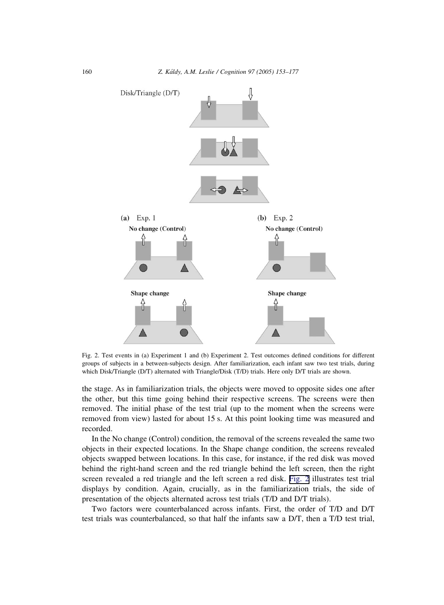<span id="page-7-0"></span>

Fig. 2. Test events in (a) Experiment 1 and (b) Experiment 2. Test outcomes defined conditions for different groups of subjects in a between-subjects design. After familiarization, each infant saw two test trials, during which Disk/Triangle (D/T) alternated with Triangle/Disk (T/D) trials. Here only D/T trials are shown.

the stage. As in familiarization trials, the objects were moved to opposite sides one after the other, but this time going behind their respective screens. The screens were then removed. The initial phase of the test trial (up to the moment when the screens were removed from view) lasted for about 15 s. At this point looking time was measured and recorded.

In the No change (Control) condition, the removal of the screens revealed the same two objects in their expected locations. In the Shape change condition, the screens revealed objects swapped between locations. In this case, for instance, if the red disk was moved behind the right-hand screen and the red triangle behind the left screen, then the right screen revealed a red triangle and the left screen a red disk. Fig. 2 illustrates test trial displays by condition. Again, crucially, as in the familiarization trials, the side of presentation of the objects alternated across test trials (T/D and D/T trials).

Two factors were counterbalanced across infants. First, the order of T/D and D/T test trials was counterbalanced, so that half the infants saw a D/T, then a T/D test trial,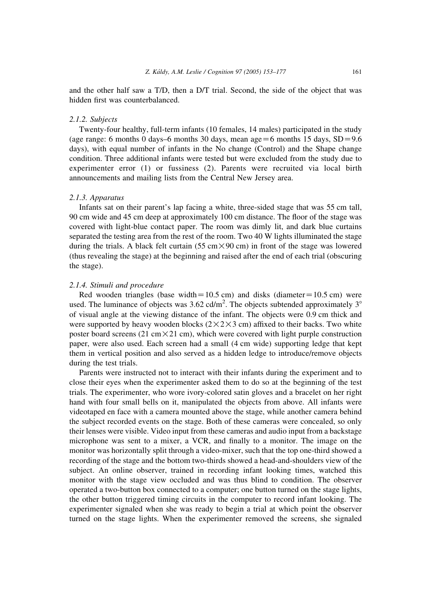and the other half saw a T/D, then a D/T trial. Second, the side of the object that was hidden first was counterbalanced.

## 2.1.2. Subjects

Twenty-four healthy, full-term infants (10 females, 14 males) participated in the study (age range: 6 months 0 days–6 months 30 days, mean age  $=6$  months 15 days,  $SD = 9.6$ ) days), with equal number of infants in the No change (Control) and the Shape change condition. Three additional infants were tested but were excluded from the study due to experimenter error (1) or fussiness (2). Parents were recruited via local birth announcements and mailing lists from the Central New Jersey area.

## 2.1.3. Apparatus

Infants sat on their parent's lap facing a white, three-sided stage that was 55 cm tall, 90 cm wide and 45 cm deep at approximately 100 cm distance. The floor of the stage was covered with light-blue contact paper. The room was dimly lit, and dark blue curtains separated the testing area from the rest of the room. Two 40 W lights illuminated the stage during the trials. A black felt curtain (55 cm $\times$ 90 cm) in front of the stage was lowered (thus revealing the stage) at the beginning and raised after the end of each trial (obscuring the stage).

#### 2.1.4. Stimuli and procedure

Red wooden triangles (base width $=10.5$  cm) and disks (diameter $=10.5$  cm) were used. The luminance of objects was 3.62 cd/m<sup>2</sup>. The objects subtended approximately 3° of visual angle at the viewing distance of the infant. The objects were 0.9 cm thick and were supported by heavy wooden blocks  $(2 \times 2 \times 3$  cm) affixed to their backs. Two white poster board screens (21 cm  $\times$  21 cm), which were covered with light purple construction paper, were also used. Each screen had a small (4 cm wide) supporting ledge that kept them in vertical position and also served as a hidden ledge to introduce/remove objects during the test trials.

Parents were instructed not to interact with their infants during the experiment and to close their eyes when the experimenter asked them to do so at the beginning of the test trials. The experimenter, who wore ivory-colored satin gloves and a bracelet on her right hand with four small bells on it, manipulated the objects from above. All infants were videotaped en face with a camera mounted above the stage, while another camera behind the subject recorded events on the stage. Both of these cameras were concealed, so only their lenses were visible. Video input from these cameras and audio input from a backstage microphone was sent to a mixer, a VCR, and finally to a monitor. The image on the monitor was horizontally split through a video-mixer, such that the top one-third showed a recording of the stage and the bottom two-thirds showed a head-and-shoulders view of the subject. An online observer, trained in recording infant looking times, watched this monitor with the stage view occluded and was thus blind to condition. The observer operated a two-button box connected to a computer; one button turned on the stage lights, the other button triggered timing circuits in the computer to record infant looking. The experimenter signaled when she was ready to begin a trial at which point the observer turned on the stage lights. When the experimenter removed the screens, she signaled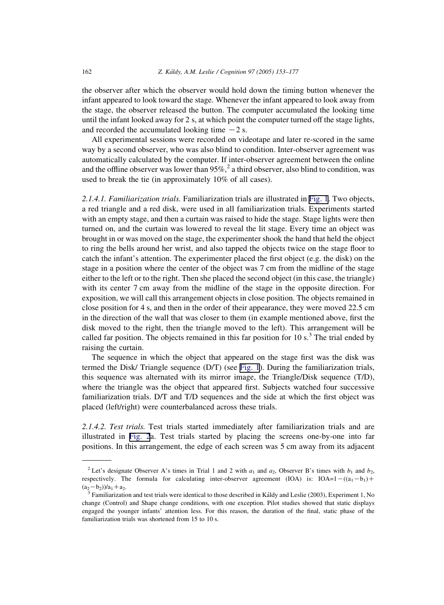the observer after which the observer would hold down the timing button whenever the infant appeared to look toward the stage. Whenever the infant appeared to look away from the stage, the observer released the button. The computer accumulated the looking time until the infant looked away for 2 s, at which point the computer turned off the stage lights, and recorded the accumulated looking time  $-2$  s.

All experimental sessions were recorded on videotape and later re-scored in the same way by a second observer, who was also blind to condition. Inter-observer agreement was automatically calculated by the computer. If inter-observer agreement between the online and the offline observer was lower than  $95\%$ ,<sup>2</sup> a third observer, also blind to condition, was used to break the tie (in approximately 10% of all cases).

2.1.4.1. Familiarization trials. Familiarization trials are illustrated in [Fig.](#page-6-0) 1. Two objects, a red triangle and a red disk, were used in all familiarization trials. Experiments started with an empty stage, and then a curtain was raised to hide the stage. Stage lights were then turned on, and the curtain was lowered to reveal the lit stage. Every time an object was brought in or was moved on the stage, the experimenter shook the hand that held the object to ring the bells around her wrist, and also tapped the objects twice on the stage floor to catch the infant's attention. The experimenter placed the first object (e.g. the disk) on the stage in a position where the center of the object was 7 cm from the midline of the stage either to the left or to the right. Then she placed the second object (in this case, the triangle) with its center 7 cm away from the midline of the stage in the opposite direction. For exposition, we will call this arrangement objects in close position. The objects remained in close position for 4 s, and then in the order of their appearance, they were moved 22.5 cm in the direction of the wall that was closer to them (in example mentioned above, first the disk moved to the right, then the triangle moved to the left). This arrangement will be called far position. The objects remained in this far position for 10 s.<sup>3</sup> The trial ended by raising the curtain.

The sequence in which the object that appeared on the stage first was the disk was termed the Disk/ Triangle sequence (D/T) (see [Fig.](#page-6-0) 1). During the familiarization trials, this sequence was alternated with its mirror image, the Triangle/Disk sequence (T/D), where the triangle was the object that appeared first. Subjects watched four successive familiarization trials. D/T and T/D sequences and the side at which the first object was placed (left/right) were counterbalanced across these trials.

2.1.4.2. Test trials. Test trials started immediately after familiarization trials and are illustrated in [Fig.](#page-7-0) 2a. Test trials started by placing the screens one-by-one into far positions. In this arrangement, the edge of each screen was 5 cm away from its adjacent

<sup>&</sup>lt;sup>2</sup> Let's designate Observer A's times in Trial 1 and 2 with  $a_1$  and  $a_2$ , Observer B's times with  $b_1$  and  $b_2$ , respectively. The formula for calculating inter-observer agreement (IOA) is:  $IOA=1-(a_1-b_1)+$  $(a_2 - b_2)/a_1 + a_2$ .<br><sup>3</sup> Familiarization and test trials were identical to those described in Káldy and Leslie (2003), Experiment 1, No

change (Control) and Shape change conditions, with one exception. Pilot studies showed that static displays engaged the younger infants' attention less. For this reason, the duration of the final, static phase of the familiarization trials was shortened from 15 to 10 s.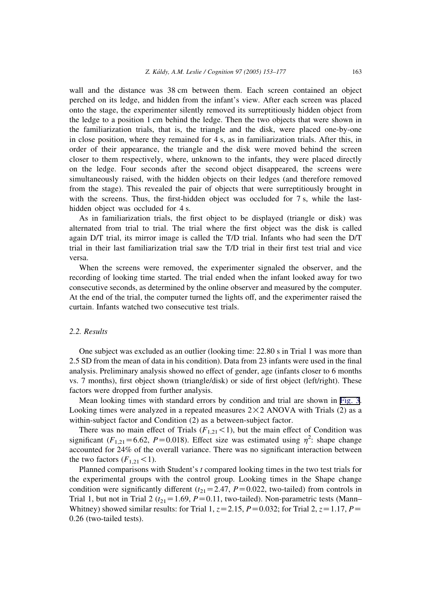wall and the distance was 38 cm between them. Each screen contained an object perched on its ledge, and hidden from the infant's view. After each screen was placed onto the stage, the experimenter silently removed its surreptitiously hidden object from the ledge to a position 1 cm behind the ledge. Then the two objects that were shown in the familiarization trials, that is, the triangle and the disk, were placed one-by-one in close position, where they remained for 4 s, as in familiarization trials. After this, in order of their appearance, the triangle and the disk were moved behind the screen closer to them respectively, where, unknown to the infants, they were placed directly on the ledge. Four seconds after the second object disappeared, the screens were simultaneously raised, with the hidden objects on their ledges (and therefore removed from the stage). This revealed the pair of objects that were surreptitiously brought in with the screens. Thus, the first-hidden object was occluded for 7 s, while the lasthidden object was occluded for 4 s.

As in familiarization trials, the first object to be displayed (triangle or disk) was alternated from trial to trial. The trial where the first object was the disk is called again D/T trial, its mirror image is called the T/D trial. Infants who had seen the D/T trial in their last familiarization trial saw the T/D trial in their first test trial and vice versa.

When the screens were removed, the experimenter signaled the observer, and the recording of looking time started. The trial ended when the infant looked away for two consecutive seconds, as determined by the online observer and measured by the computer. At the end of the trial, the computer turned the lights off, and the experimenter raised the curtain. Infants watched two consecutive test trials.

#### 2.2. Results

One subject was excluded as an outlier (looking time: 22.80 s in Trial 1 was more than 2.5 SD from the mean of data in his condition). Data from 23 infants were used in the final analysis. Preliminary analysis showed no effect of gender, age (infants closer to 6 months vs. 7 months), first object shown (triangle/disk) or side of first object (left/right). These factors were dropped from further analysis.

Mean looking times with standard errors by condition and trial are shown in [Fig.](#page-11-0) 3. Looking times were analyzed in a repeated measures  $2 \times 2$  ANOVA with Trials (2) as a within-subject factor and Condition (2) as a between-subject factor.

There was no main effect of Trials  $(F_{1,21} < 1)$ , but the main effect of Condition was significant ( $F_{1,21}$ =6.62, P=0.018). Effect size was estimated using  $\eta^2$ : shape change accounted for 24% of the overall variance. There was no significant interaction between the two factors  $(F_{1,21} < 1)$ .

Planned comparisons with Student's t compared looking times in the two test trials for the experimental groups with the control group. Looking times in the Shape change condition were significantly different ( $t_{21}=2.47$ ,  $P=0.022$ , two-tailed) from controls in Trial 1, but not in Trial 2 ( $t_{21}$ =1.69, P=0.11, two-tailed). Non-parametric tests (Mann– Whitney) showed similar results: for Trial 1,  $z=2.15$ ,  $P=0.032$ ; for Trial 2,  $z=1.17$ ,  $P=$ 0.26 (two-tailed tests).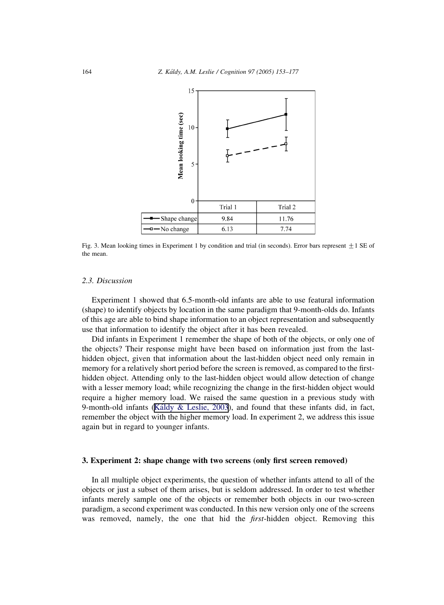<span id="page-11-0"></span>

Fig. 3. Mean looking times in Experiment 1 by condition and trial (in seconds). Error bars represent  $\pm$  1 SE of the mean.

## 2.3. Discussion

Experiment 1 showed that 6.5-month-old infants are able to use featural information (shape) to identify objects by location in the same paradigm that 9-month-olds do. Infants of this age are able to bind shape information to an object representation and subsequently use that information to identify the object after it has been revealed.

Did infants in Experiment 1 remember the shape of both of the objects, or only one of the objects? Their response might have been based on information just from the lasthidden object, given that information about the last-hidden object need only remain in memory for a relatively short period before the screen is removed, as compared to the firsthidden object. Attending only to the last-hidden object would allow detection of change with a lesser memory load; while recognizing the change in the first-hidden object would require a higher memory load. We raised the same question in a previous study with 9-month-old infants (Káldy  $&$  [Leslie,](#page-23-0) 2003), and found that these infants did, in fact, remember the object with the higher memory load. In experiment 2, we address this issue again but in regard to younger infants.

#### 3. Experiment 2: shape change with two screens (only first screen removed)

In all multiple object experiments, the question of whether infants attend to all of the objects or just a subset of them arises, but is seldom addressed. In order to test whether infants merely sample one of the objects or remember both objects in our two-screen paradigm, a second experiment was conducted. In this new version only one of the screens was removed, namely, the one that hid the *first*-hidden object. Removing this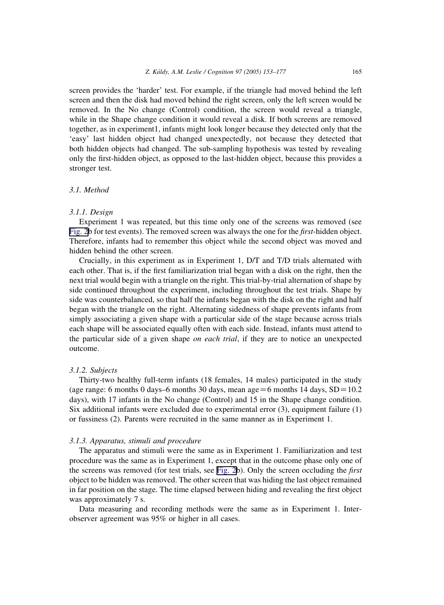screen provides the 'harder' test. For example, if the triangle had moved behind the left screen and then the disk had moved behind the right screen, only the left screen would be removed. In the No change (Control) condition, the screen would reveal a triangle, while in the Shape change condition it would reveal a disk. If both screens are removed together, as in experiment1, infants might look longer because they detected only that the 'easy' last hidden object had changed unexpectedly, not because they detected that both hidden objects had changed. The sub-sampling hypothesis was tested by revealing only the first-hidden object, as opposed to the last-hidden object, because this provides a stronger test.

## 3.1. Method

## 3.1.1. Design

Experiment 1 was repeated, but this time only one of the screens was removed (see [Fig.](#page-7-0) 2b for test events). The removed screen was always the one for the first-hidden object. Therefore, infants had to remember this object while the second object was moved and hidden behind the other screen.

Crucially, in this experiment as in Experiment 1, D/T and T/D trials alternated with each other. That is, if the first familiarization trial began with a disk on the right, then the next trial would begin with a triangle on the right. This trial-by-trial alternation of shape by side continued throughout the experiment, including throughout the test trials. Shape by side was counterbalanced, so that half the infants began with the disk on the right and half began with the triangle on the right. Alternating sidedness of shape prevents infants from simply associating a given shape with a particular side of the stage because across trials each shape will be associated equally often with each side. Instead, infants must attend to the particular side of a given shape *on each trial*, if they are to notice an unexpected outcome.

#### 3.1.2. Subjects

Thirty-two healthy full-term infants (18 females, 14 males) participated in the study (age range: 6 months 0 days–6 months 30 days, mean age  $=6$  months 14 days,  $SD = 10.2$ ) days), with 17 infants in the No change (Control) and 15 in the Shape change condition. Six additional infants were excluded due to experimental error  $(3)$ , equipment failure  $(1)$ or fussiness (2). Parents were recruited in the same manner as in Experiment 1.

#### 3.1.3. Apparatus, stimuli and procedure

The apparatus and stimuli were the same as in Experiment 1. Familiarization and test procedure was the same as in Experiment 1, except that in the outcome phase only one of the screens was removed (for test trials, see [Fig.](#page-7-0) 2b). Only the screen occluding the *first* object to be hidden was removed. The other screen that was hiding the last object remained in far position on the stage. The time elapsed between hiding and revealing the first object was approximately 7 s.

Data measuring and recording methods were the same as in Experiment 1. Interobserver agreement was 95% or higher in all cases.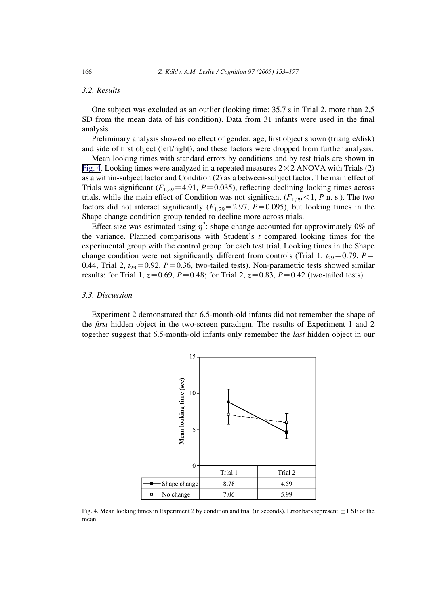# 3.2. Results

One subject was excluded as an outlier (looking time: 35.7 s in Trial 2, more than 2.5 SD from the mean data of his condition). Data from 31 infants were used in the final analysis.

Preliminary analysis showed no effect of gender, age, first object shown (triangle/disk) and side of first object (left/right), and these factors were dropped from further analysis.

Mean looking times with standard errors by conditions and by test trials are shown in Fig. 4. Looking times were analyzed in a repeated measures  $2 \times 2$  ANOVA with Trials (2) as a within-subject factor and Condition (2) as a between-subject factor. The main effect of Trials was significant  $(F_{1,29} = 4.91, P = 0.035)$ , reflecting declining looking times across trials, while the main effect of Condition was not significant ( $F_{1,29}$  < 1, P n. s.). The two factors did not interact significantly ( $F_{1,29}$ =2.97, P=0.095), but looking times in the Shape change condition group tended to decline more across trials.

Effect size was estimated using  $\eta^2$ : shape change accounted for approximately 0% of the variance. Planned comparisons with Student's  $t$  compared looking times for the experimental group with the control group for each test trial. Looking times in the Shape change condition were not significantly different from controls (Trial 1,  $t_{29}=0.79$ , P= 0.44, Trial 2,  $t_{29}=0.92$ ,  $P=0.36$ , two-tailed tests). Non-parametric tests showed similar results: for Trial 1,  $z=0.69$ ,  $P=0.48$ ; for Trial 2,  $z=0.83$ ,  $P=0.42$  (two-tailed tests).

#### 3.3. Discussion

Experiment 2 demonstrated that 6.5-month-old infants did not remember the shape of the first hidden object in the two-screen paradigm. The results of Experiment 1 and 2 together suggest that 6.5-month-old infants only remember the *last* hidden object in our



Fig. 4. Mean looking times in Experiment 2 by condition and trial (in seconds). Error bars represent  $\pm 1$  SE of the mean.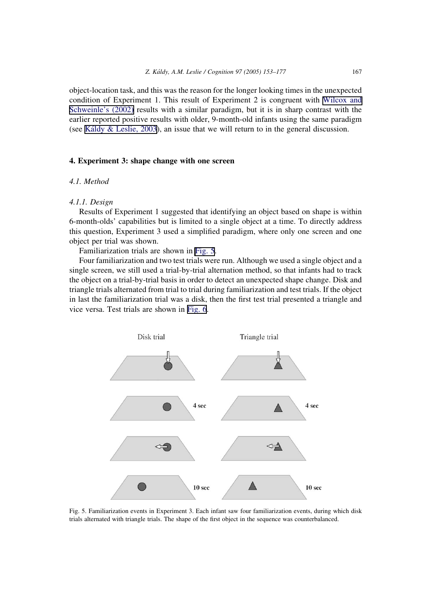object-location task, and this was the reason for the longer looking times in the unexpected condition of Experiment 1. This result of Experiment 2 is congruent with [Wilcox](#page-24-0) and [Schweinle's](#page-24-0) (2002) results with a similar paradigm, but it is in sharp contrast with the earlier reported positive results with older, 9-month-old infants using the same paradigm (see Ka $\delta$ ldy & [Leslie,](#page-23-0) 2003), an issue that we will return to in the general discussion.

# 4. Experiment 3: shape change with one screen

## 4.1. Method

#### 4.1.1. Design

Results of Experiment 1 suggested that identifying an object based on shape is within 6-month-olds' capabilities but is limited to a single object at a time. To directly address this question, Experiment 3 used a simplified paradigm, where only one screen and one object per trial was shown.

Familiarization trials are shown in Fig. 5.

Four familiarization and two test trials were run. Although we used a single object and a single screen, we still used a trial-by-trial alternation method, so that infants had to track the object on a trial-by-trial basis in order to detect an unexpected shape change. Disk and triangle trials alternated from trial to trial during familiarization and test trials. If the object in last the familiarization trial was a disk, then the first test trial presented a triangle and vice versa. Test trials are shown in [Fig.](#page-15-0) 6.



Fig. 5. Familiarization events in Experiment 3. Each infant saw four familiarization events, during which disk trials alternated with triangle trials. The shape of the first object in the sequence was counterbalanced.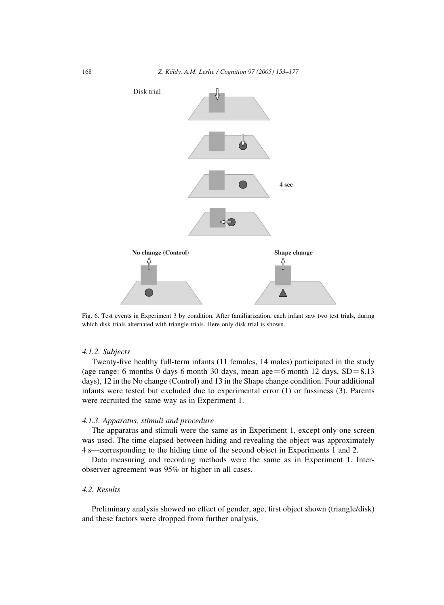<span id="page-15-0"></span>

Fig. 6. Test events in Experiment 3 by condition. After familiarization, each infant saw two test trials, during which disk trials alternated with triangle trials. Here only disk trial is shown.

#### 4.1.2. Subjects

Twenty-five healthy full-term infants (11 females, 14 males) participated in the study (age range: 6 months 0 days-6 month 30 days, mean age=6 month 12 days,  $SD = 8.13$ ) days), 12 in the No change (Control) and 13 in the Shape change condition. Four additional infants were tested but excluded due to experimental error (1) or fussiness (3). Parents were recruited the same way as in Experiment 1.

#### 4.1.3. Apparatus, stimuli and procedure

The apparatus and stimuli were the same as in Experiment 1, except only one screen was used. The time elapsed between hiding and revealing the object was approximately 4 s—corresponding to the hiding time of the second object in Experiments 1 and 2.

Data measuring and recording methods were the same as in Experiment 1. Interobserver agreement was 95% or higher in all cases.

# 4.2. Results

Preliminary analysis showed no effect of gender, age, first object shown (triangle/disk) and these factors were dropped from further analysis.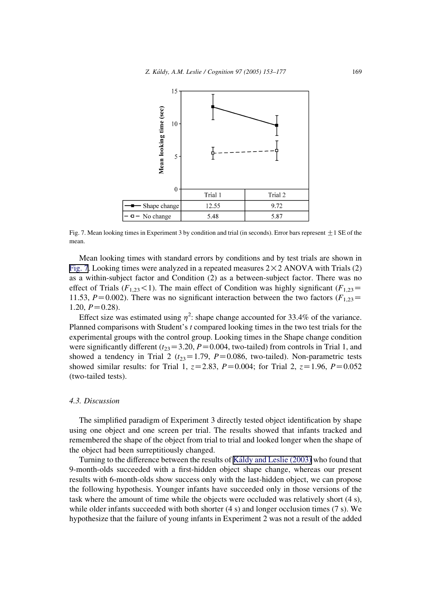

Fig. 7. Mean looking times in Experiment 3 by condition and trial (in seconds). Error bars represent  $\pm$  1 SE of the mean.

Mean looking times with standard errors by conditions and by test trials are shown in Fig. 7. Looking times were analyzed in a repeated measures  $2 \times 2$  ANOVA with Trials (2) as a within-subject factor and Condition (2) as a between-subject factor. There was no effect of Trials ( $F_{1,23}$ <1). The main effect of Condition was highly significant ( $F_{1,23}$ = 11.53,  $P=0.002$ ). There was no significant interaction between the two factors ( $F_{1,23}=$  $1.20, P=0.28$ .

Effect size was estimated using  $\eta^2$ : shape change accounted for 33.4% of the variance. Planned comparisons with Student's t compared looking times in the two test trials for the experimental groups with the control group. Looking times in the Shape change condition were significantly different ( $t_{23}$ =3.20, P=0.004, two-tailed) from controls in Trial 1, and showed a tendency in Trial 2 ( $t_{23}=1.79$ ,  $P=0.086$ , two-tailed). Non-parametric tests showed similar results: for Trial 1,  $z=2.83$ ,  $P=0.004$ ; for Trial 2,  $z=1.96$ ,  $P=0.052$ (two-tailed tests).

#### 4.3. Discussion

The simplified paradigm of Experiment 3 directly tested object identification by shape using one object and one screen per trial. The results showed that infants tracked and remembered the shape of the object from trial to trial and looked longer when the shape of the object had been surreptitiously changed.

Turning to the difference between the results of Ka^ldy and Leslie [\(2003\)](#page-23-0) who found that 9-month-olds succeeded with a first-hidden object shape change, whereas our present results with 6-month-olds show success only with the last-hidden object, we can propose the following hypothesis. Younger infants have succeeded only in those versions of the task where the amount of time while the objects were occluded was relatively short (4 s), while older infants succeeded with both shorter (4 s) and longer occlusion times (7 s). We hypothesize that the failure of young infants in Experiment 2 was not a result of the added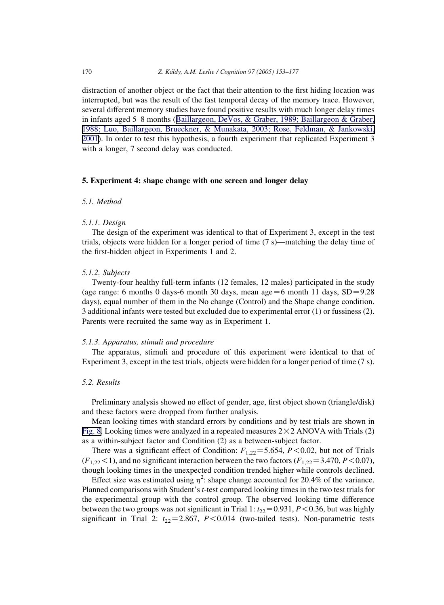distraction of another object or the fact that their attention to the first hiding location was interrupted, but was the result of the fast temporal decay of the memory trace. However, several different memory studies have found positive results with much longer delay times in infants aged 5–8 months ([Baillargeon,](#page-22-0) DeVos, & Graber, 1989; Baillargeon & Graber, 1988; Luo, [Baillargeon,](#page-22-0) Brueckner, & Munakata, 2003; Rose, Feldman, & Jankowski, [2001\)](#page-22-0). In order to test this hypothesis, a fourth experiment that replicated Experiment 3 with a longer, 7 second delay was conducted.

## 5. Experiment 4: shape change with one screen and longer delay

#### 5.1. Method

#### 5.1.1. Design

The design of the experiment was identical to that of Experiment 3, except in the test trials, objects were hidden for a longer period of time (7 s)—matching the delay time of the first-hidden object in Experiments 1 and 2.

## 5.1.2. Subjects

Twenty-four healthy full-term infants (12 females, 12 males) participated in the study (age range: 6 months 0 days-6 month 30 days, mean age  $=$  6 month 11 days, SD $=$ 9.28 days), equal number of them in the No change (Control) and the Shape change condition. 3 additional infants were tested but excluded due to experimental error (1) or fussiness (2). Parents were recruited the same way as in Experiment 1.

#### 5.1.3. Apparatus, stimuli and procedure

The apparatus, stimuli and procedure of this experiment were identical to that of Experiment 3, except in the test trials, objects were hidden for a longer period of time (7 s).

## 5.2. Results

Preliminary analysis showed no effect of gender, age, first object shown (triangle/disk) and these factors were dropped from further analysis.

Mean looking times with standard errors by conditions and by test trials are shown in [Fig.](#page-18-0) 8. Looking times were analyzed in a repeated measures  $2 \times 2$  ANOVA with Trials (2) as a within-subject factor and Condition (2) as a between-subject factor.

There was a significant effect of Condition:  $F_{1,22} = 5.654$ ,  $P < 0.02$ , but not of Trials  $(F_{1,22}$  < 1), and no significant interaction between the two factors  $(F_{1,22}=3.470, P<0.07)$ , though looking times in the unexpected condition trended higher while controls declined.

Effect size was estimated using  $\eta^2$ : shape change accounted for 20.4% of the variance. Planned comparisons with Student's t-test compared looking times in the two test trials for the experimental group with the control group. The observed looking time difference between the two groups was not significant in Trial 1:  $t_{22} = 0.931$ ,  $P < 0.36$ , but was highly significant in Trial 2:  $t_{22}=2.867$ ,  $P < 0.014$  (two-tailed tests). Non-parametric tests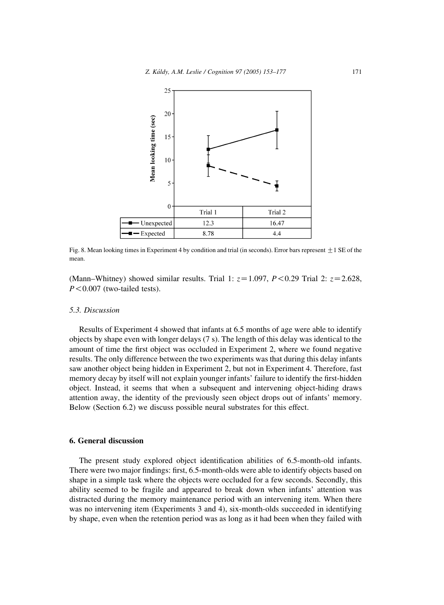<span id="page-18-0"></span>

Fig. 8. Mean looking times in Experiment 4 by condition and trial (in seconds). Error bars represent  $\pm$  1 SE of the mean.

(Mann–Whitney) showed similar results. Trial 1:  $z=1.097$ ,  $P < 0.29$  Trial 2:  $z=2.628$ ,  $P < 0.007$  (two-tailed tests).

## 5.3. Discussion

Results of Experiment 4 showed that infants at 6.5 months of age were able to identify objects by shape even with longer delays (7 s). The length of this delay was identical to the amount of time the first object was occluded in Experiment 2, where we found negative results. The only difference between the two experiments was that during this delay infants saw another object being hidden in Experiment 2, but not in Experiment 4. Therefore, fast memory decay by itself will not explain younger infants' failure to identify the first-hidden object. Instead, it seems that when a subsequent and intervening object-hiding draws attention away, the identity of the previously seen object drops out of infants' memory. Below (Section 6.2) we discuss possible neural substrates for this effect.

## 6. General discussion

The present study explored object identification abilities of 6.5-month-old infants. There were two major findings: first, 6.5-month-olds were able to identify objects based on shape in a simple task where the objects were occluded for a few seconds. Secondly, this ability seemed to be fragile and appeared to break down when infants' attention was distracted during the memory maintenance period with an intervening item. When there was no intervening item (Experiments 3 and 4), six-month-olds succeeded in identifying by shape, even when the retention period was as long as it had been when they failed with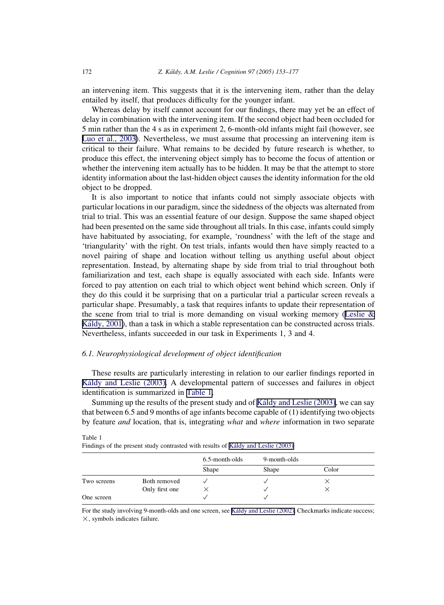<span id="page-19-0"></span>an intervening item. This suggests that it is the intervening item, rather than the delay entailed by itself, that produces difficulty for the younger infant.

Whereas delay by itself cannot account for our findings, there may yet be an effect of delay in combination with the intervening item. If the second object had been occluded for 5 min rather than the 4 s as in experiment 2, 6-month-old infants might fail (however, see Luo et al., [2003\)](#page-23-0). Nevertheless, we must assume that processing an intervening item is critical to their failure. What remains to be decided by future research is whether, to produce this effect, the intervening object simply has to become the focus of attention or whether the intervening item actually has to be hidden. It may be that the attempt to store identity information about the last-hidden object causes the identity information for the old object to be dropped.

It is also important to notice that infants could not simply associate objects with particular locations in our paradigm, since the sidedness of the objects was alternated from trial to trial. This was an essential feature of our design. Suppose the same shaped object had been presented on the same side throughout all trials. In this case, infants could simply have habituated by associating, for example, 'roundness' with the left of the stage and 'triangularity' with the right. On test trials, infants would then have simply reacted to a novel pairing of shape and location without telling us anything useful about object representation. Instead, by alternating shape by side from trial to trial throughout both familiarization and test, each shape is equally associated with each side. Infants were forced to pay attention on each trial to which object went behind which screen. Only if they do this could it be surprising that on a particular trial a particular screen reveals a particular shape. Presumably, a task that requires infants to update their representation of the scene from trial to trial is more demanding on visual working memory ([Leslie](#page-23-0)  $\&$ Káldy, 2001), than a task in which a stable representation can be constructed across trials. Nevertheless, infants succeeded in our task in Experiments 1, 3 and 4.

# 6.1. Neurophysiological development of object identification

These results are particularly interesting in relation to our earlier findings reported in Káldy and Leslie [\(2003\).](#page-23-0) A developmental pattern of successes and failures in object identification is summarized in Table 1.

Summing up the results of the present study and of Katley and Leslie [\(2003\)](#page-23-0), we can say that between 6.5 and 9 months of age infants become capable of (1) identifying two objects by feature *and* location, that is, integrating what and where information in two separate

|             |                | 6.5-month-olds | 9-month-olds |       |  |  |
|-------------|----------------|----------------|--------------|-------|--|--|
|             |                | <b>Shape</b>   | Shape        | Color |  |  |
| Two screens | Both removed   |                |              |       |  |  |
|             | Only first one |                |              |       |  |  |
| One screen  |                |                |              |       |  |  |

Table 1

Findings of the present study contrasted with results of Káldy and Leslie [\(2003\)](#page-23-0)

For the study involving 9-month-olds and one screen, see Ka´ldy and Leslie [\(2002\).](#page-23-0) Checkmarks indicate success;  $\times$ , symbols indicates failure.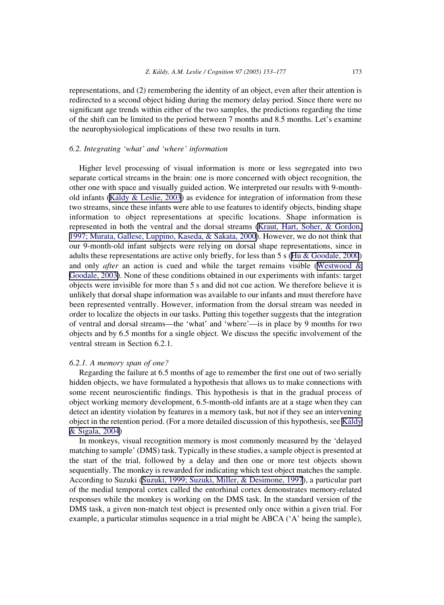representations, and (2) remembering the identity of an object, even after their attention is redirected to a second object hiding during the memory delay period. Since there were no significant age trends within either of the two samples, the predictions regarding the time of the shift can be limited to the period between 7 months and 8.5 months. Let's examine the neurophysiological implications of these two results in turn.

## 6.2. Integrating 'what' and 'where' information

Higher level processing of visual information is more or less segregated into two separate cortical streams in the brain: one is more concerned with object recognition, the other one with space and visually guided action. We interpreted our results with 9-month-old infants (Káldy & [Leslie,](#page-23-0) 2003) as evidence for integration of information from these two streams, since these infants were able to use features to identify objects, binding shape information to object representations at specific locations. Shape information is represented in both the ventral and the dorsal streams (Kraut, Hart, Soher, & [Gordon,](#page-23-0) 1997; Murata, Gallese, [Luppino,](#page-23-0) Kaseda, & Sakata, 2000). However, we do not think that our 9-month-old infant subjects were relying on dorsal shape representations, since in adults these representations are active only briefly, for less than  $5 \text{ s}$  (Hu & [Goodale,](#page-23-0) 2000) and only *after* an action is cued and while the target remains visible ([Westwood](#page-24-0)  $\&$ [Goodale,](#page-24-0) 2003). None of these conditions obtained in our experiments with infants: target objects were invisible for more than 5 s and did not cue action. We therefore believe it is unlikely that dorsal shape information was available to our infants and must therefore have been represented ventrally. However, information from the dorsal stream was needed in order to localize the objects in our tasks. Putting this together suggests that the integration of ventral and dorsal streams—the 'what' and 'where'—is in place by 9 months for two objects and by 6.5 months for a single object. We discuss the specific involvement of the ventral stream in Section 6.2.1.

# 6.2.1. A memory span of one?

Regarding the failure at 6.5 months of age to remember the first one out of two serially hidden objects, we have formulated a hypothesis that allows us to make connections with some recent neuroscientific findings. This hypothesis is that in the gradual process of object working memory development, 6.5-month-old infants are at a stage when they can detect an identity violation by features in a memory task, but not if they see an intervening object in the retention period. (For a more detailed discussion of this hypothesis, see Katldy & [Sigala,](#page-23-0) 2004)

In monkeys, visual recognition memory is most commonly measured by the 'delayed matching to sample' (DMS) task. Typically in these studies, a sample object is presented at the start of the trial, followed by a delay and then one or more test objects shown sequentially. The monkey is rewarded for indicating which test object matches the sample. According to Suzuki (Suzuki, 1999; Suzuki, Miller, & [Desimone,](#page-23-0) 1997), a particular part of the medial temporal cortex called the entorhinal cortex demonstrates memory-related responses while the monkey is working on the DMS task. In the standard version of the DMS task, a given non-match test object is presented only once within a given trial. For example, a particular stimulus sequence in a trial might be ABCA ('A' being the sample),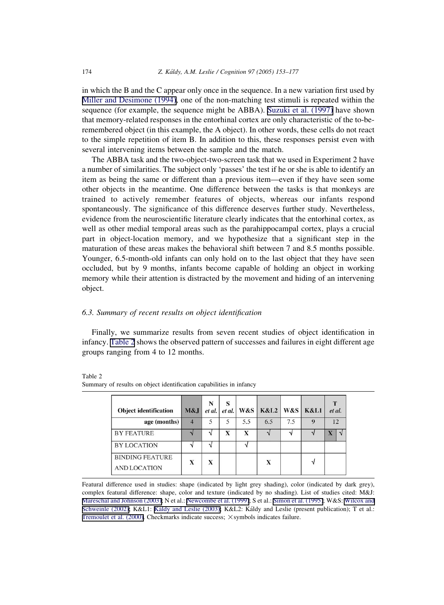in which the B and the C appear only once in the sequence. In a new variation first used by Miller and [Desimone](#page-23-0) (1994), one of the non-matching test stimuli is repeated within the sequence (for example, the sequence might be ABBA). [Suzuki](#page-23-0) et al. (1997) have shown that memory-related responses in the entorhinal cortex are only characteristic of the to-beremembered object (in this example, the A object). In other words, these cells do not react to the simple repetition of item B. In addition to this, these responses persist even with several intervening items between the sample and the match.

The ABBA task and the two-object-two-screen task that we used in Experiment 2 have a number of similarities. The subject only 'passes' the test if he or she is able to identify an item as being the same or different than a previous item—even if they have seen some other objects in the meantime. One difference between the tasks is that monkeys are trained to actively remember features of objects, whereas our infants respond spontaneously. The significance of this difference deserves further study. Nevertheless, evidence from the neuroscientific literature clearly indicates that the entorhinal cortex, as well as other medial temporal areas such as the parahippocampal cortex, plays a crucial part in object-location memory, and we hypothesize that a significant step in the maturation of these areas makes the behavioral shift between 7 and 8.5 months possible. Younger, 6.5-month-old infants can only hold on to the last object that they have seen occluded, but by 9 months, infants become capable of holding an object in working memory while their attention is distracted by the movement and hiding of an intervening object.

#### 6.3. Summary of recent results on object identification

Finally, we summarize results from seven recent studies of object identification in infancy. Table 2 shows the observed pattern of successes and failures in eight different age groups ranging from 4 to 12 months.

| <b>Object identification</b>                  | M&J | N<br>et al. | S<br>et al. |     | <b>W&amp;S   K&amp;L2   W&amp;S   K&amp;L1</b> |     |   | т<br>et al. |
|-----------------------------------------------|-----|-------------|-------------|-----|------------------------------------------------|-----|---|-------------|
| age (months)                                  | 4   | 5           |             | 5.5 | 6.5                                            | 7.5 | 9 |             |
| <b>BY FEATURE</b>                             |     |             | X           | X   |                                                |     |   | v<br>V<br>A |
| <b>BY LOCATION</b>                            |     |             |             |     |                                                |     |   |             |
| <b>BINDING FEATURE</b><br><b>AND LOCATION</b> | X   | X           |             |     | X                                              |     | N |             |

Table 2

Summary of results on object identification capabilities in infancy

Featural difference used in studies: shape (indicated by light grey shading), color (indicated by dark grey), complex featural difference: shape, color and texture (indicated by no shading). List of studies cited: M&J: [Mareschal](#page-23-0) and Johnson (2003); N et al.: [Newcombe](#page-23-0) et al. (1999); S et al.: Simon et al. [\(1995\)](#page-23-0); W&S: [Wilcox](#page-24-0) and [Schweinle](#page-24-0) (2002); K&L1: Káldy and Leslie [\(2003\);](#page-23-0) K&L2: Káldy and Leslie (present publication); T et al.: [Tremoulet](#page-24-0) et al. (2000). Checkmarks indicate success;  $\times$  symbols indicates failure.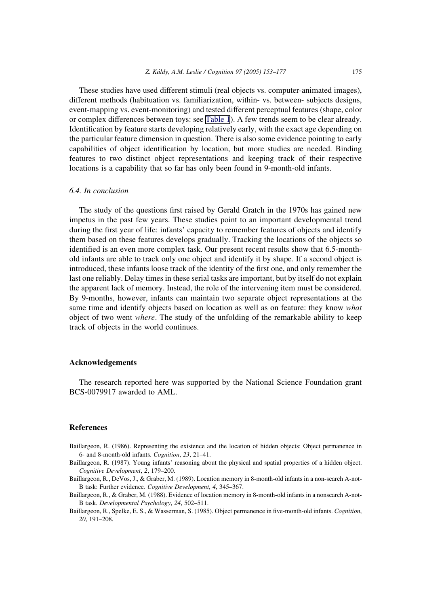<span id="page-22-0"></span>These studies have used different stimuli (real objects vs. computer-animated images), different methods (habituation vs. familiarization, within- vs. between- subjects designs, event-mapping vs. event-monitoring) and tested different perceptual features (shape, color or complex differences between toys: see [Table](#page-19-0) 1). A few trends seem to be clear already. Identification by feature starts developing relatively early, with the exact age depending on the particular feature dimension in question. There is also some evidence pointing to early capabilities of object identification by location, but more studies are needed. Binding features to two distinct object representations and keeping track of their respective locations is a capability that so far has only been found in 9-month-old infants.

#### 6.4. In conclusion

The study of the questions first raised by Gerald Gratch in the 1970s has gained new impetus in the past few years. These studies point to an important developmental trend during the first year of life: infants' capacity to remember features of objects and identify them based on these features develops gradually. Tracking the locations of the objects so identified is an even more complex task. Our present recent results show that 6.5-monthold infants are able to track only one object and identify it by shape. If a second object is introduced, these infants loose track of the identity of the first one, and only remember the last one reliably. Delay times in these serial tasks are important, but by itself do not explain the apparent lack of memory. Instead, the role of the intervening item must be considered. By 9-months, however, infants can maintain two separate object representations at the same time and identify objects based on location as well as on feature: they know what object of two went where. The study of the unfolding of the remarkable ability to keep track of objects in the world continues.

#### Acknowledgements

The research reported here was supported by the National Science Foundation grant BCS-0079917 awarded to AML.

## References

- Baillargeon, R. (1986). Representing the existence and the location of hidden objects: Object permanence in 6- and 8-month-old infants. Cognition, 23, 21–41.
- Baillargeon, R. (1987). Young infants' reasoning about the physical and spatial properties of a hidden object. Cognitive Development, 2, 179–200.
- Baillargeon, R., DeVos, J., & Graber, M. (1989). Location memory in 8-month-old infants in a non-search A-not-B task: Further evidence. Cognitive Development, 4, 345–367.
- Baillargeon, R., & Graber, M. (1988). Evidence of location memory in 8-month-old infants in a nonsearch A-not-B task. Developmental Psychology, 24, 502–511.
- Baillargeon, R., Spelke, E. S., & Wasserman, S. (1985). Object permanence in five-month-old infants. Cognition, 20, 191–208.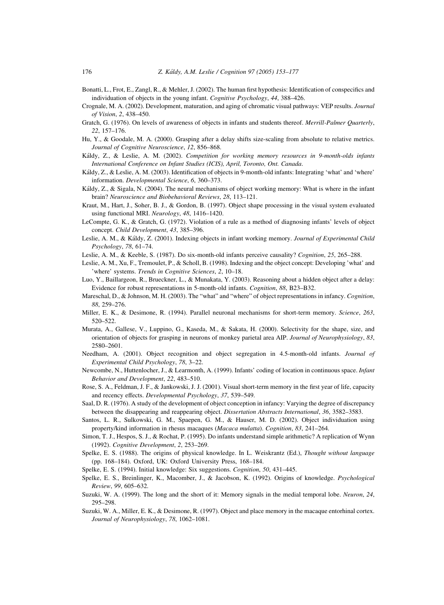- <span id="page-23-0"></span>Bonatti, L., Frot, E., Zangl, R., & Mehler, J. (2002). The human first hypothesis: Identification of conspecifics and individuation of objects in the young infant. Cognitive Psychology, 44, 388–426.
- Crognale, M. A. (2002). Development, maturation, and aging of chromatic visual pathways: VEP results. Journal of Vision, 2, 438–450.
- Gratch, G. (1976). On levels of awareness of objects in infants and students thereof. Merrill-Palmer Quarterly, 22, 157–176.
- Hu, Y., & Goodale, M. A. (2000). Grasping after a delay shifts size-scaling from absolute to relative metrics. Journal of Cognitive Neuroscience, 12, 856–868.
- Káldy, Z., & Leslie, A. M. (2002). Competition for working memory resources in 9-month-olds infants International Conference on Infant Studies (ICIS), April, Toronto, Ont. Canada.
- Káldy, Z., & Leslie, A. M. (2003). Identification of objects in 9-month-old infants: Integrating 'what' and 'where' information. Developmental Science, 6, 360–373.
- Káldy, Z., & Sigala, N. (2004). The neural mechanisms of object working memory: What is where in the infant brain? Neuroscience and Biobehavioral Reviews, 28, 113–121.
- Kraut, M., Hart, J., Soher, B. J., & Gordon, B. (1997). Object shape processing in the visual system evaluated using functional MRI. Neurology, 48, 1416–1420.
- LeCompte, G. K., & Gratch, G. (1972). Violation of a rule as a method of diagnosing infants' levels of object concept. Child Development, 43, 385–396.
- Leslie, A. M., & Káldy, Z. (2001). Indexing objects in infant working memory. Journal of Experimental Child Psychology, 78, 61–74.
- Leslie, A. M., & Keeble, S. (1987). Do six-month-old infants perceive causality? Cognition, 25, 265–288.
- Leslie, A. M., Xu, F., Tremoulet, P., & Scholl, B. (1998). Indexing and the object concept: Developing 'what' and 'where' systems. Trends in Cognitive Sciences, 2, 10–18.
- Luo, Y., Baillargeon, R., Brueckner, L., & Munakata, Y. (2003). Reasoning about a hidden object after a delay: Evidence for robust representations in 5-month-old infants. Cognition, 88, B23–B32.
- Mareschal, D., & Johnson, M. H. (2003). The "what" and "where" of object representations in infancy. Cognition, 88, 259–276.
- Miller, E. K., & Desimone, R. (1994). Parallel neuronal mechanisms for short-term memory. Science, 263, 520–522.
- Murata, A., Gallese, V., Luppino, G., Kaseda, M., & Sakata, H. (2000). Selectivity for the shape, size, and orientation of objects for grasping in neurons of monkey parietal area AIP. Journal of Neurophysiology, 83, 2580–2601.
- Needham, A. (2001). Object recognition and object segregation in 4.5-month-old infants. Journal of Experimental Child Psychology, 78, 3–22.
- Newcombe, N., Huttenlocher, J., & Learmonth, A. (1999). Infants' coding of location in continuous space. Infant Behavior and Development, 22, 483–510.
- Rose, S. A., Feldman, J. F., & Jankowski, J. J. (2001). Visual short-term memory in the first year of life, capacity and recency effects. Developmental Psychology, 37, 539–549.
- Saal, D. R. (1976). A study of the development of object conception in infancy: Varying the degree of discrepancy between the disappearing and reappearing object. Dissertation Abstracts International, 36, 3582–3583.
- Santos, L. R., Sulkowski, G. M., Spaepen, G. M., & Hauser, M. D. (2002). Object individuation using property/kind information in rhesus macaques (Macaca mulatta). Cognition, 83, 241–264.
- Simon, T. J., Hespos, S. J., & Rochat, P. (1995). Do infants understand simple arithmetic? A replication of Wynn (1992). Cognitive Development, 2, 253–269.
- Spelke, E. S. (1988). The origins of physical knowledge. In L. Weiskrantz (Ed.), Thought without language (pp. 168–184). Oxford, UK: Oxford University Press, 168–184.
- Spelke, E. S. (1994). Initial knowledge: Six suggestions. Cognition, 50, 431–445.
- Spelke, E. S., Breinlinger, K., Macomber, J., & Jacobson, K. (1992). Origins of knowledge. Psychological Review, 99, 605–632.
- Suzuki, W. A. (1999). The long and the short of it: Memory signals in the medial temporal lobe. Neuron, 24, 295–298.
- Suzuki, W. A., Miller, E. K., & Desimone, R. (1997). Object and place memory in the macaque entorhinal cortex. Journal of Neurophysiology, 78, 1062–1081.